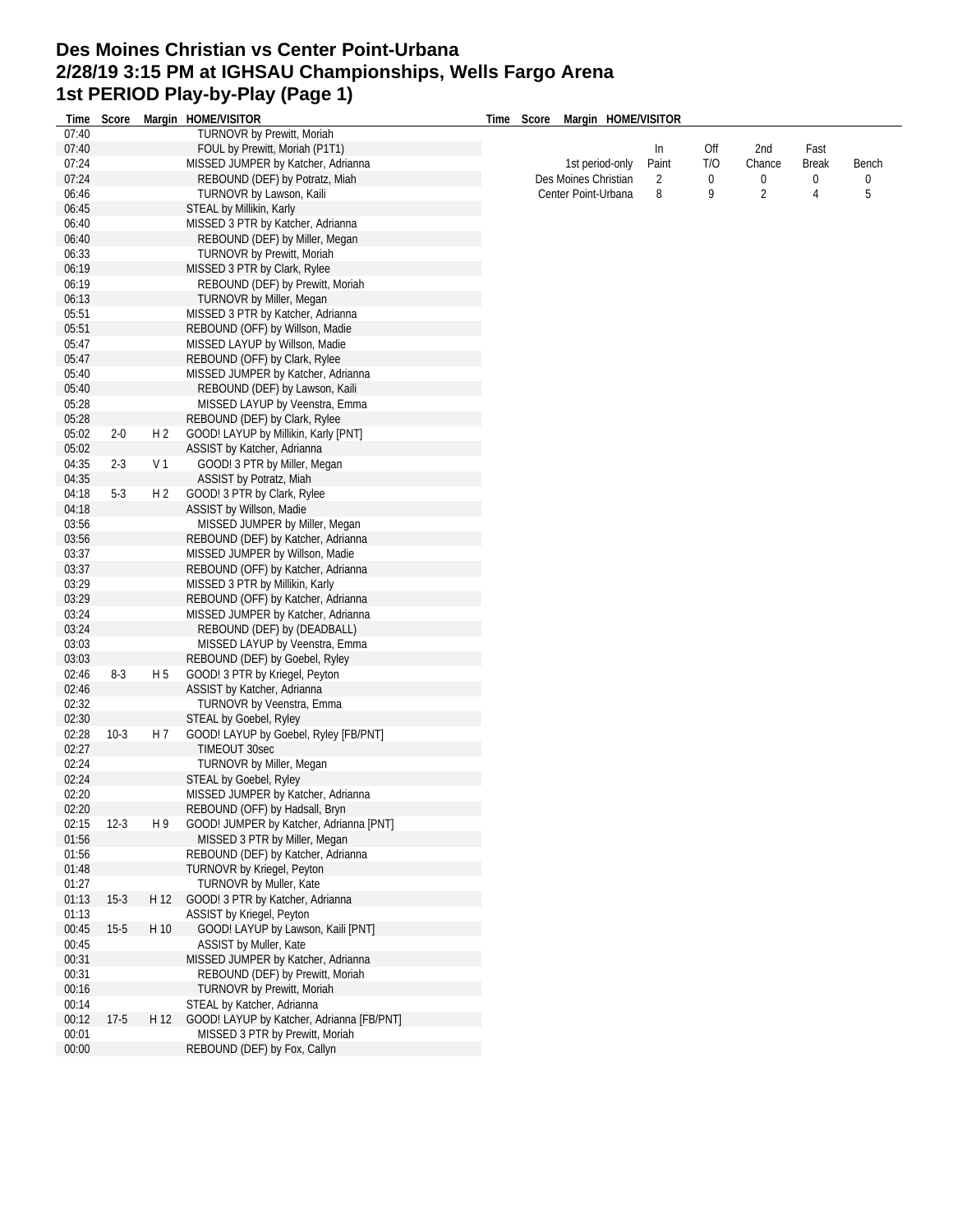## **Des Moines Christian vs Center Point-Urbana 2/28/19 3:15 PM at IGHSAU Championships, Wells Fargo Arena 1st PERIOD Play-by-Play (Page 1)**

| Time           | Score   |                | Margin HOME/VISITOR                                          | Time | Score | Margin HOME/VISITOR  |       |     |                |              |              |
|----------------|---------|----------------|--------------------------------------------------------------|------|-------|----------------------|-------|-----|----------------|--------------|--------------|
| 07:40          |         |                | TURNOVR by Prewitt, Moriah                                   |      |       |                      |       |     |                |              |              |
| 07:40          |         |                | FOUL by Prewitt, Moriah (P1T1)                               |      |       |                      | In    | Off | 2nd            | Fast         |              |
| 07:24          |         |                | MISSED JUMPER by Katcher, Adrianna                           |      |       | 1st period-only      | Paint | T/O | Chance         | <b>Break</b> | Bench        |
| 07:24          |         |                | REBOUND (DEF) by Potratz, Miah                               |      |       | Des Moines Christian | 2     | 0   | 0              | 0            | $\mathbf{0}$ |
| 06:46          |         |                | TURNOVR by Lawson, Kaili                                     |      |       | Center Point-Urbana  | 8     | 9   | $\overline{2}$ | 4            | 5            |
| 06:45          |         |                | STEAL by Millikin, Karly                                     |      |       |                      |       |     |                |              |              |
| 06:40          |         |                | MISSED 3 PTR by Katcher, Adrianna                            |      |       |                      |       |     |                |              |              |
| 06:40          |         |                | REBOUND (DEF) by Miller, Megan                               |      |       |                      |       |     |                |              |              |
| 06:33          |         |                | TURNOVR by Prewitt, Moriah                                   |      |       |                      |       |     |                |              |              |
| 06:19          |         |                | MISSED 3 PTR by Clark, Rylee                                 |      |       |                      |       |     |                |              |              |
| 06:19          |         |                | REBOUND (DEF) by Prewitt, Moriah                             |      |       |                      |       |     |                |              |              |
| 06:13          |         |                | TURNOVR by Miller, Megan                                     |      |       |                      |       |     |                |              |              |
| 05:51          |         |                | MISSED 3 PTR by Katcher, Adrianna                            |      |       |                      |       |     |                |              |              |
| 05:51          |         |                | REBOUND (OFF) by Willson, Madie                              |      |       |                      |       |     |                |              |              |
| 05:47          |         |                | MISSED LAYUP by Willson, Madie                               |      |       |                      |       |     |                |              |              |
| 05:47          |         |                | REBOUND (OFF) by Clark, Rylee                                |      |       |                      |       |     |                |              |              |
| 05:40          |         |                | MISSED JUMPER by Katcher, Adrianna                           |      |       |                      |       |     |                |              |              |
| 05:40          |         |                | REBOUND (DEF) by Lawson, Kaili                               |      |       |                      |       |     |                |              |              |
| 05:28          |         |                | MISSED LAYUP by Veenstra, Emma                               |      |       |                      |       |     |                |              |              |
| 05:28          |         |                | REBOUND (DEF) by Clark, Rylee                                |      |       |                      |       |     |                |              |              |
| 05:02          | 2-0     | H 2            | GOOD! LAYUP by Millikin, Karly [PNT]                         |      |       |                      |       |     |                |              |              |
| 05:02          |         |                | ASSIST by Katcher, Adrianna                                  |      |       |                      |       |     |                |              |              |
| 04:35          | $2 - 3$ | V <sub>1</sub> | GOOD! 3 PTR by Miller, Megan                                 |      |       |                      |       |     |                |              |              |
| 04:35          |         |                | ASSIST by Potratz, Miah                                      |      |       |                      |       |     |                |              |              |
| 04:18          | $5-3$   | H <sub>2</sub> | GOOD! 3 PTR by Clark, Rylee                                  |      |       |                      |       |     |                |              |              |
| 04:18          |         |                | ASSIST by Willson, Madie                                     |      |       |                      |       |     |                |              |              |
| 03:56          |         |                | MISSED JUMPER by Miller, Megan                               |      |       |                      |       |     |                |              |              |
| 03:56          |         |                | REBOUND (DEF) by Katcher, Adrianna                           |      |       |                      |       |     |                |              |              |
| 03:37          |         |                | MISSED JUMPER by Willson, Madie                              |      |       |                      |       |     |                |              |              |
| 03:37          |         |                | REBOUND (OFF) by Katcher, Adrianna                           |      |       |                      |       |     |                |              |              |
| 03:29          |         |                | MISSED 3 PTR by Millikin, Karly                              |      |       |                      |       |     |                |              |              |
| 03:29          |         |                |                                                              |      |       |                      |       |     |                |              |              |
|                |         |                | REBOUND (OFF) by Katcher, Adrianna                           |      |       |                      |       |     |                |              |              |
| 03:24          |         |                | MISSED JUMPER by Katcher, Adrianna                           |      |       |                      |       |     |                |              |              |
| 03:24          |         |                | REBOUND (DEF) by (DEADBALL)                                  |      |       |                      |       |     |                |              |              |
| 03:03<br>03:03 |         |                | MISSED LAYUP by Veenstra, Emma                               |      |       |                      |       |     |                |              |              |
| 02:46          | $8-3$   |                | REBOUND (DEF) by Goebel, Ryley                               |      |       |                      |       |     |                |              |              |
|                |         | H 5            | GOOD! 3 PTR by Kriegel, Peyton                               |      |       |                      |       |     |                |              |              |
| 02:46          |         |                | ASSIST by Katcher, Adrianna                                  |      |       |                      |       |     |                |              |              |
| 02:32          |         |                | TURNOVR by Veenstra, Emma                                    |      |       |                      |       |     |                |              |              |
| 02:30          |         |                | STEAL by Goebel, Ryley                                       |      |       |                      |       |     |                |              |              |
| 02:28          | $10-3$  | H 7            | GOOD! LAYUP by Goebel, Ryley [FB/PNT]                        |      |       |                      |       |     |                |              |              |
| 02:27          |         |                | TIMEOUT 30sec                                                |      |       |                      |       |     |                |              |              |
| 02:24          |         |                | TURNOVR by Miller, Megan                                     |      |       |                      |       |     |                |              |              |
| 02:24<br>02:20 |         |                | STEAL by Goebel, Ryley<br>MISSED JUMPER by Katcher, Adrianna |      |       |                      |       |     |                |              |              |
| 02:20          |         |                |                                                              |      |       |                      |       |     |                |              |              |
|                |         |                | REBOUND (OFF) by Hadsall, Bryn                               |      |       |                      |       |     |                |              |              |
| 02:15          | $12-3$  | H 9            | GOOD! JUMPER by Katcher, Adrianna [PNT]                      |      |       |                      |       |     |                |              |              |
| 01:56          |         |                | MISSED 3 PTR by Miller, Megan                                |      |       |                      |       |     |                |              |              |
| 01:56          |         |                | REBOUND (DEF) by Katcher, Adrianna                           |      |       |                      |       |     |                |              |              |
| 01:48          |         |                | TURNOVR by Kriegel, Peyton                                   |      |       |                      |       |     |                |              |              |
| 01:27          |         |                | TURNOVR by Muller, Kate                                      |      |       |                      |       |     |                |              |              |
| 01:13          | $15-3$  | H 12           | GOOD! 3 PTR by Katcher, Adrianna                             |      |       |                      |       |     |                |              |              |
| 01:13          |         |                | <b>ASSIST by Kriegel, Peyton</b>                             |      |       |                      |       |     |                |              |              |
| 00:45          | $15-5$  | H 10           | GOOD! LAYUP by Lawson, Kaili [PNT]                           |      |       |                      |       |     |                |              |              |
| 00:45          |         |                | ASSIST by Muller, Kate                                       |      |       |                      |       |     |                |              |              |
| 00:31          |         |                | MISSED JUMPER by Katcher, Adrianna                           |      |       |                      |       |     |                |              |              |
| 00:31          |         |                | REBOUND (DEF) by Prewitt, Moriah                             |      |       |                      |       |     |                |              |              |
| 00:16          |         |                | TURNOVR by Prewitt, Moriah                                   |      |       |                      |       |     |                |              |              |
| 00:14          |         |                | STEAL by Katcher, Adrianna                                   |      |       |                      |       |     |                |              |              |
| 00:12          | $17-5$  | H 12           | GOOD! LAYUP by Katcher, Adrianna [FB/PNT]                    |      |       |                      |       |     |                |              |              |
| 00:01          |         |                | MISSED 3 PTR by Prewitt, Moriah                              |      |       |                      |       |     |                |              |              |
| 00:00          |         |                | REBOUND (DEF) by Fox, Callyn                                 |      |       |                      |       |     |                |              |              |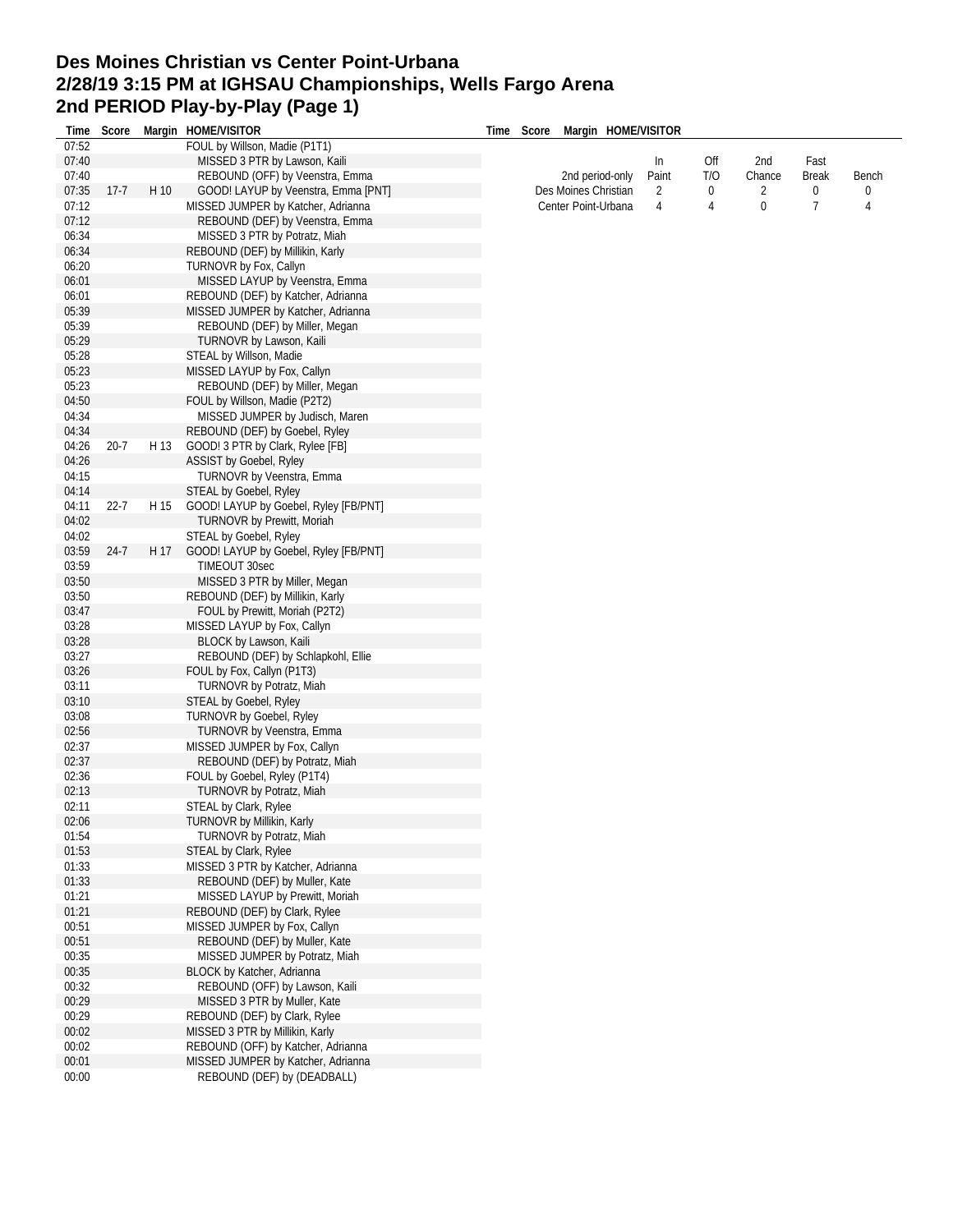## **Des Moines Christian vs Center Point-Urbana 2/28/19 3:15 PM at IGHSAU Championships, Wells Fargo Arena 2nd PERIOD Play-by-Play (Page 1)**

|       |          |      | Time Score Margin HOME/VISITOR        | Time Score Margin HOME/VISITOR |            |     |        |              |                |   |
|-------|----------|------|---------------------------------------|--------------------------------|------------|-----|--------|--------------|----------------|---|
| 07:52 |          |      | FOUL by Willson, Madie (P1T1)         |                                |            |     |        |              |                |   |
| 07:40 |          |      | MISSED 3 PTR by Lawson, Kaili         |                                |            | ln  | Off    | 2nd          | Fast           |   |
| 07:40 |          |      | REBOUND (OFF) by Veenstra, Emma       | 2nd period-only                | Paint<br>2 | T/O | Chance | <b>Break</b> | Bench          |   |
| 07:35 | $17 - 7$ | H 10 | GOOD! LAYUP by Veenstra, Emma [PNT]   | Des Moines Christian           |            | 0   | 2      | 0            | 0              |   |
| 07:12 |          |      | MISSED JUMPER by Katcher, Adrianna    | Center Point-Urbana            |            | 4   | 4      | 0            | $\overline{7}$ | 4 |
| 07:12 |          |      | REBOUND (DEF) by Veenstra, Emma       |                                |            |     |        |              |                |   |
| 06:34 |          |      | MISSED 3 PTR by Potratz, Miah         |                                |            |     |        |              |                |   |
| 06:34 |          |      | REBOUND (DEF) by Millikin, Karly      |                                |            |     |        |              |                |   |
| 06:20 |          |      | TURNOVR by Fox, Callyn                |                                |            |     |        |              |                |   |
| 06:01 |          |      | MISSED LAYUP by Veenstra, Emma        |                                |            |     |        |              |                |   |
| 06:01 |          |      | REBOUND (DEF) by Katcher, Adrianna    |                                |            |     |        |              |                |   |
| 05:39 |          |      | MISSED JUMPER by Katcher, Adrianna    |                                |            |     |        |              |                |   |
| 05:39 |          |      | REBOUND (DEF) by Miller, Megan        |                                |            |     |        |              |                |   |
| 05:29 |          |      | TURNOVR by Lawson, Kaili              |                                |            |     |        |              |                |   |
| 05:28 |          |      | STEAL by Willson, Madie               |                                |            |     |        |              |                |   |
|       |          |      |                                       |                                |            |     |        |              |                |   |
| 05:23 |          |      | MISSED LAYUP by Fox, Callyn           |                                |            |     |        |              |                |   |
| 05:23 |          |      | REBOUND (DEF) by Miller, Megan        |                                |            |     |        |              |                |   |
| 04:50 |          |      | FOUL by Willson, Madie (P2T2)         |                                |            |     |        |              |                |   |
| 04:34 |          |      | MISSED JUMPER by Judisch, Maren       |                                |            |     |        |              |                |   |
| 04:34 |          |      | REBOUND (DEF) by Goebel, Ryley        |                                |            |     |        |              |                |   |
| 04:26 | $20 - 7$ | H 13 | GOOD! 3 PTR by Clark, Rylee [FB]      |                                |            |     |        |              |                |   |
| 04:26 |          |      | ASSIST by Goebel, Ryley               |                                |            |     |        |              |                |   |
| 04:15 |          |      | TURNOVR by Veenstra, Emma             |                                |            |     |        |              |                |   |
| 04:14 |          |      | STEAL by Goebel, Ryley                |                                |            |     |        |              |                |   |
| 04:11 | $22 - 7$ | H 15 | GOOD! LAYUP by Goebel, Ryley [FB/PNT] |                                |            |     |        |              |                |   |
| 04:02 |          |      | TURNOVR by Prewitt, Moriah            |                                |            |     |        |              |                |   |
| 04:02 |          |      | STEAL by Goebel, Ryley                |                                |            |     |        |              |                |   |
| 03:59 | $24 - 7$ | H 17 | GOOD! LAYUP by Goebel, Ryley [FB/PNT] |                                |            |     |        |              |                |   |
| 03:59 |          |      | TIMEOUT 30sec                         |                                |            |     |        |              |                |   |
| 03:50 |          |      | MISSED 3 PTR by Miller, Megan         |                                |            |     |        |              |                |   |
| 03:50 |          |      | REBOUND (DEF) by Millikin, Karly      |                                |            |     |        |              |                |   |
| 03:47 |          |      | FOUL by Prewitt, Moriah (P2T2)        |                                |            |     |        |              |                |   |
| 03:28 |          |      | MISSED LAYUP by Fox, Callyn           |                                |            |     |        |              |                |   |
| 03:28 |          |      | BLOCK by Lawson, Kaili                |                                |            |     |        |              |                |   |
| 03:27 |          |      | REBOUND (DEF) by Schlapkohl, Ellie    |                                |            |     |        |              |                |   |
| 03:26 |          |      | FOUL by Fox, Callyn (P1T3)            |                                |            |     |        |              |                |   |
| 03:11 |          |      | TURNOVR by Potratz, Miah              |                                |            |     |        |              |                |   |
| 03:10 |          |      | STEAL by Goebel, Ryley                |                                |            |     |        |              |                |   |
| 03:08 |          |      | <b>TURNOVR by Goebel, Ryley</b>       |                                |            |     |        |              |                |   |
| 02:56 |          |      | TURNOVR by Veenstra, Emma             |                                |            |     |        |              |                |   |
| 02:37 |          |      | MISSED JUMPER by Fox, Callyn          |                                |            |     |        |              |                |   |
| 02:37 |          |      | REBOUND (DEF) by Potratz, Miah        |                                |            |     |        |              |                |   |
| 02:36 |          |      | FOUL by Goebel, Ryley (P1T4)          |                                |            |     |        |              |                |   |
| 02:13 |          |      | TURNOVR by Potratz, Miah              |                                |            |     |        |              |                |   |
| 02:11 |          |      | STEAL by Clark, Rylee                 |                                |            |     |        |              |                |   |
| 02:06 |          |      | TURNOVR by Millikin, Karly            |                                |            |     |        |              |                |   |
| 01:54 |          |      | TURNOVR by Potratz, Miah              |                                |            |     |        |              |                |   |
| 01:53 |          |      | STEAL by Clark, Rylee                 |                                |            |     |        |              |                |   |
| 01:33 |          |      | MISSED 3 PTR by Katcher, Adrianna     |                                |            |     |        |              |                |   |
| 01:33 |          |      | REBOUND (DEF) by Muller, Kate         |                                |            |     |        |              |                |   |
| 01:21 |          |      | MISSED LAYUP by Prewitt, Moriah       |                                |            |     |        |              |                |   |
| 01:21 |          |      | REBOUND (DEF) by Clark, Rylee         |                                |            |     |        |              |                |   |
| 00:51 |          |      | MISSED JUMPER by Fox, Callyn          |                                |            |     |        |              |                |   |
| 00:51 |          |      | REBOUND (DEF) by Muller, Kate         |                                |            |     |        |              |                |   |
| 00:35 |          |      | MISSED JUMPER by Potratz, Miah        |                                |            |     |        |              |                |   |
| 00:35 |          |      | BLOCK by Katcher, Adrianna            |                                |            |     |        |              |                |   |
| 00:32 |          |      | REBOUND (OFF) by Lawson, Kaili        |                                |            |     |        |              |                |   |
| 00:29 |          |      | MISSED 3 PTR by Muller, Kate          |                                |            |     |        |              |                |   |
| 00:29 |          |      | REBOUND (DEF) by Clark, Rylee         |                                |            |     |        |              |                |   |
| 00:02 |          |      | MISSED 3 PTR by Millikin, Karly       |                                |            |     |        |              |                |   |
| 00:02 |          |      | REBOUND (OFF) by Katcher, Adrianna    |                                |            |     |        |              |                |   |
| 00:01 |          |      | MISSED JUMPER by Katcher, Adrianna    |                                |            |     |        |              |                |   |
| 00:00 |          |      | REBOUND (DEF) by (DEADBALL)           |                                |            |     |        |              |                |   |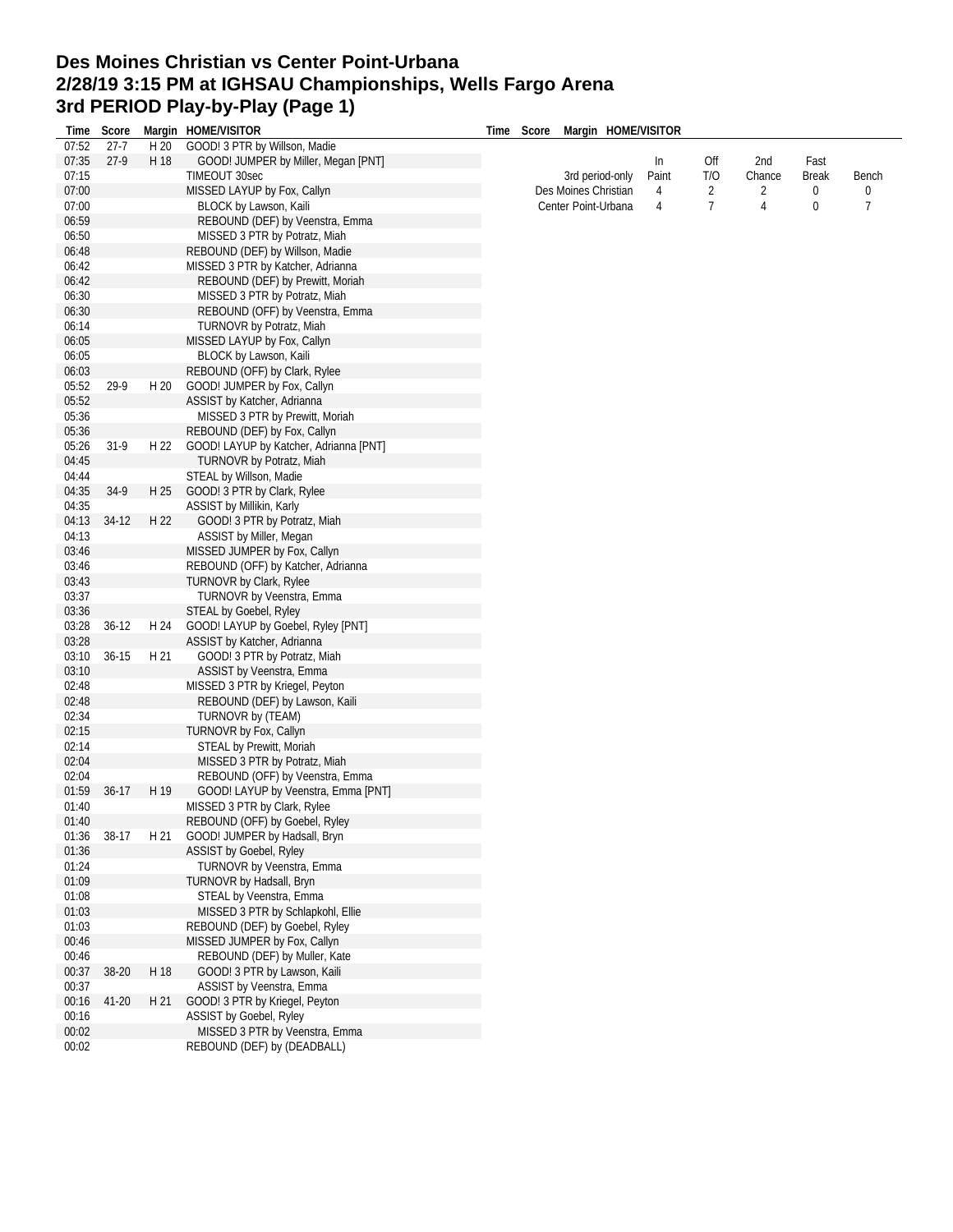## **Des Moines Christian vs Center Point-Urbana 2/28/19 3:15 PM at IGHSAU Championships, Wells Fargo Arena 3rd PERIOD Play-by-Play (Page 1)**

| Time  | Score     |      | Margin HOME/VISITOR                                           | Time Score | Margin HOME/VISITOR  |       |                |        |              |                |
|-------|-----------|------|---------------------------------------------------------------|------------|----------------------|-------|----------------|--------|--------------|----------------|
| 07:52 | $27 - 7$  | H 20 | GOOD! 3 PTR by Willson, Madie                                 |            |                      |       |                |        |              |                |
| 07:35 | $27-9$    | H 18 | GOOD! JUMPER by Miller, Megan [PNT]                           |            |                      | In    | Off            | 2nd    | Fast         |                |
| 07:15 |           |      | TIMEOUT 30sec                                                 |            | 3rd period-only      | Paint | T/O            | Chance | <b>Break</b> | Bench          |
| 07:00 |           |      | MISSED LAYUP by Fox, Callyn                                   |            | Des Moines Christian | 4     | 2              | 2      | 0            | $\mathbf{0}$   |
| 07:00 |           |      | BLOCK by Lawson, Kaili                                        |            | Center Point-Urbana  | 4     | $\overline{7}$ | 4      | 0            | $\overline{7}$ |
| 06:59 |           |      | REBOUND (DEF) by Veenstra, Emma                               |            |                      |       |                |        |              |                |
| 06:50 |           |      | MISSED 3 PTR by Potratz, Miah                                 |            |                      |       |                |        |              |                |
| 06:48 |           |      | REBOUND (DEF) by Willson, Madie                               |            |                      |       |                |        |              |                |
| 06:42 |           |      | MISSED 3 PTR by Katcher, Adrianna                             |            |                      |       |                |        |              |                |
| 06:42 |           |      | REBOUND (DEF) by Prewitt, Moriah                              |            |                      |       |                |        |              |                |
| 06:30 |           |      | MISSED 3 PTR by Potratz, Miah                                 |            |                      |       |                |        |              |                |
| 06:30 |           |      | REBOUND (OFF) by Veenstra, Emma                               |            |                      |       |                |        |              |                |
| 06:14 |           |      | TURNOVR by Potratz, Miah                                      |            |                      |       |                |        |              |                |
| 06:05 |           |      | MISSED LAYUP by Fox, Callyn                                   |            |                      |       |                |        |              |                |
| 06:05 |           |      | BLOCK by Lawson, Kaili                                        |            |                      |       |                |        |              |                |
| 06:03 |           |      | REBOUND (OFF) by Clark, Rylee                                 |            |                      |       |                |        |              |                |
| 05:52 | $29-9$    | H 20 | GOOD! JUMPER by Fox, Callyn                                   |            |                      |       |                |        |              |                |
| 05:52 |           |      | ASSIST by Katcher, Adrianna                                   |            |                      |       |                |        |              |                |
| 05:36 |           |      | MISSED 3 PTR by Prewitt, Moriah                               |            |                      |       |                |        |              |                |
| 05:36 |           |      | REBOUND (DEF) by Fox, Callyn                                  |            |                      |       |                |        |              |                |
| 05:26 | $31-9$    | H 22 | GOOD! LAYUP by Katcher, Adrianna [PNT]                        |            |                      |       |                |        |              |                |
| 04:45 |           |      | TURNOVR by Potratz, Miah                                      |            |                      |       |                |        |              |                |
| 04:44 |           |      | STEAL by Willson, Madie                                       |            |                      |       |                |        |              |                |
| 04:35 | 34-9      | H 25 | GOOD! 3 PTR by Clark, Rylee                                   |            |                      |       |                |        |              |                |
| 04:35 |           |      | ASSIST by Millikin, Karly                                     |            |                      |       |                |        |              |                |
| 04:13 | $34-12$   | H 22 | GOOD! 3 PTR by Potratz, Miah                                  |            |                      |       |                |        |              |                |
| 04:13 |           |      | ASSIST by Miller, Megan                                       |            |                      |       |                |        |              |                |
| 03:46 |           |      | MISSED JUMPER by Fox, Callyn                                  |            |                      |       |                |        |              |                |
| 03:46 |           |      | REBOUND (OFF) by Katcher, Adrianna                            |            |                      |       |                |        |              |                |
| 03:43 |           |      | TURNOVR by Clark, Rylee                                       |            |                      |       |                |        |              |                |
| 03:37 |           |      | TURNOVR by Veenstra, Emma                                     |            |                      |       |                |        |              |                |
| 03:36 |           |      | STEAL by Goebel, Ryley                                        |            |                      |       |                |        |              |                |
| 03:28 | $36 - 12$ | H 24 | GOOD! LAYUP by Goebel, Ryley [PNT]                            |            |                      |       |                |        |              |                |
| 03:28 |           |      | ASSIST by Katcher, Adrianna                                   |            |                      |       |                |        |              |                |
| 03:10 | $36 - 15$ | H 21 | GOOD! 3 PTR by Potratz, Miah                                  |            |                      |       |                |        |              |                |
| 03:10 |           |      | ASSIST by Veenstra, Emma                                      |            |                      |       |                |        |              |                |
| 02:48 |           |      | MISSED 3 PTR by Kriegel, Peyton                               |            |                      |       |                |        |              |                |
| 02:48 |           |      | REBOUND (DEF) by Lawson, Kaili                                |            |                      |       |                |        |              |                |
| 02:34 |           |      | TURNOVR by (TEAM)                                             |            |                      |       |                |        |              |                |
| 02:15 |           |      | TURNOVR by Fox, Callyn                                        |            |                      |       |                |        |              |                |
| 02:14 |           |      | STEAL by Prewitt, Moriah                                      |            |                      |       |                |        |              |                |
| 02:04 |           |      | MISSED 3 PTR by Potratz, Miah                                 |            |                      |       |                |        |              |                |
| 02:04 |           |      | REBOUND (OFF) by Veenstra, Emma                               |            |                      |       |                |        |              |                |
| 01:59 | $36-17$   | H 19 | GOOD! LAYUP by Veenstra, Emma [PNT]                           |            |                      |       |                |        |              |                |
| 01:40 |           |      | MISSED 3 PTR by Clark, Rylee                                  |            |                      |       |                |        |              |                |
| 01:40 |           |      | REBOUND (OFF) by Goebel, Ryley                                |            |                      |       |                |        |              |                |
| 01:36 | 38-17     | H 21 | GOOD! JUMPER by Hadsall, Bryn                                 |            |                      |       |                |        |              |                |
| 01:36 |           |      | ASSIST by Goebel, Ryley                                       |            |                      |       |                |        |              |                |
| 01:24 |           |      | TURNOVR by Veenstra, Emma                                     |            |                      |       |                |        |              |                |
| 01:09 |           |      | TURNOVR by Hadsall, Bryn                                      |            |                      |       |                |        |              |                |
| 01:08 |           |      | STEAL by Veenstra, Emma                                       |            |                      |       |                |        |              |                |
|       |           |      |                                                               |            |                      |       |                |        |              |                |
| 01:03 |           |      | MISSED 3 PTR by Schlapkohl, Ellie                             |            |                      |       |                |        |              |                |
| 01:03 |           |      | REBOUND (DEF) by Goebel, Ryley                                |            |                      |       |                |        |              |                |
| 00:46 |           |      | MISSED JUMPER by Fox, Callyn                                  |            |                      |       |                |        |              |                |
| 00:46 |           |      | REBOUND (DEF) by Muller, Kate<br>GOOD! 3 PTR by Lawson, Kaili |            |                      |       |                |        |              |                |
| 00:37 | 38-20     | H 18 |                                                               |            |                      |       |                |        |              |                |
| 00:37 |           |      | ASSIST by Veenstra, Emma                                      |            |                      |       |                |        |              |                |
| 00:16 | 41-20     | H 21 | GOOD! 3 PTR by Kriegel, Peyton                                |            |                      |       |                |        |              |                |
| 00:16 |           |      | ASSIST by Goebel, Ryley                                       |            |                      |       |                |        |              |                |
| 00:02 |           |      | MISSED 3 PTR by Veenstra, Emma                                |            |                      |       |                |        |              |                |
| 00:02 |           |      | REBOUND (DEF) by (DEADBALL)                                   |            |                      |       |                |        |              |                |